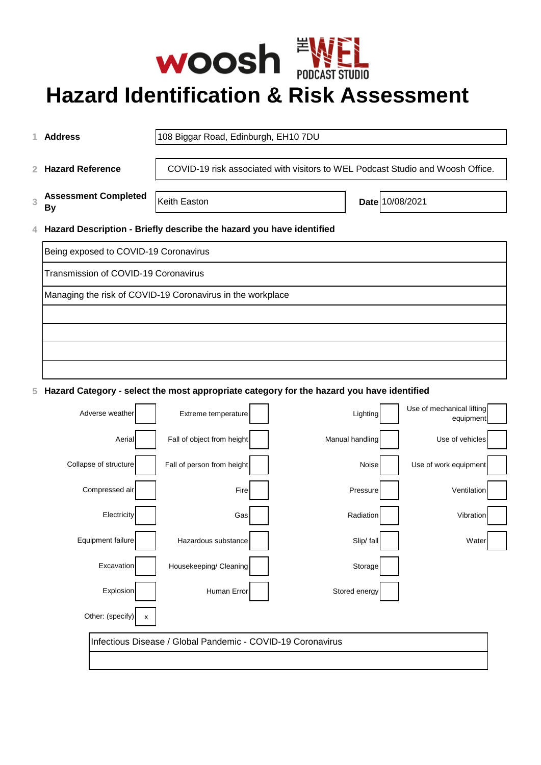

# **Hazard Identification & Risk Assessment**

|                                                                                                    | 1 Address                                                              | 108 Biggar Road, Edinburgh, EH10 7DU                                           |  |  |  |  |  |  |
|----------------------------------------------------------------------------------------------------|------------------------------------------------------------------------|--------------------------------------------------------------------------------|--|--|--|--|--|--|
|                                                                                                    | 2 Hazard Reference                                                     | COVID-19 risk associated with visitors to WEL Podcast Studio and Woosh Office. |  |  |  |  |  |  |
| 3                                                                                                  | <b>Assessment Completed</b><br>By                                      | Date 10/08/2021<br>Keith Easton                                                |  |  |  |  |  |  |
|                                                                                                    | 4 Hazard Description - Briefly describe the hazard you have identified |                                                                                |  |  |  |  |  |  |
|                                                                                                    | Being exposed to COVID-19 Coronavirus                                  |                                                                                |  |  |  |  |  |  |
| Transmission of COVID-19 Coronavirus<br>Managing the risk of COVID-19 Coronavirus in the workplace |                                                                        |                                                                                |  |  |  |  |  |  |
|                                                                                                    |                                                                        |                                                                                |  |  |  |  |  |  |
|                                                                                                    |                                                                        |                                                                                |  |  |  |  |  |  |
|                                                                                                    |                                                                        |                                                                                |  |  |  |  |  |  |
|                                                                                                    |                                                                        |                                                                                |  |  |  |  |  |  |
| 5 Hazard Category - select the most appropriate category for the hazard you have identified        |                                                                        |                                                                                |  |  |  |  |  |  |
|                                                                                                    | <b>Adverse weather</b>                                                 | Use of mechanical lifting<br>Eytrama tamnaratural<br><b>Lighting</b>           |  |  |  |  |  |  |

| Adverse weather       |   | Extreme temperature                                         | Lighting        | Use of mechanical lifting<br>equipment |  |
|-----------------------|---|-------------------------------------------------------------|-----------------|----------------------------------------|--|
| Aerial                |   | Fall of object from height                                  | Manual handling | Use of vehicles                        |  |
| Collapse of structure |   | Fall of person from height                                  | Noise           | Use of work equipment                  |  |
| Compressed air        |   | Fire                                                        | Pressure        | Ventilation                            |  |
| Electricity           |   | Gas                                                         | Radiation       | Vibration                              |  |
| Equipment failure     |   | Hazardous substance                                         | Slip/ fall      | Water                                  |  |
| Excavation            |   | Housekeeping/ Cleaning                                      | Storage         |                                        |  |
| Explosion             |   | Human Error                                                 | Stored energy   |                                        |  |
| Other: (specify)      | x |                                                             |                 |                                        |  |
|                       |   | Infectious Disease / Global Pandemic - COVID-19 Coronavirus |                 |                                        |  |
|                       |   |                                                             |                 |                                        |  |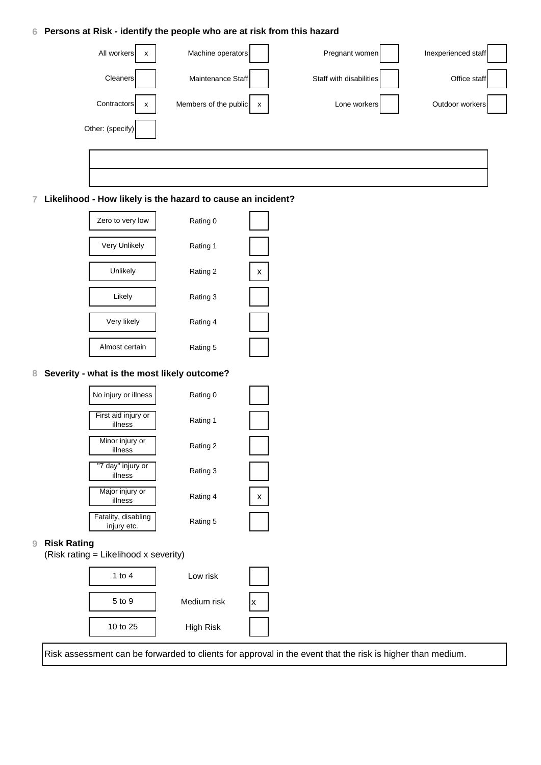### **6 Persons at Risk - identify the people who are at risk from this hazard**



#### **7 Likelihood - How likely is the hazard to cause an incident?**



#### **8 Severity - what is the most likely outcome?**



| 1 to 4   | Low risk    |  |
|----------|-------------|--|
| 5 to 9   | Medium risk |  |
| 10 to 25 | High Risk   |  |

Risk assessment can be forwarded to clients for approval in the event that the risk is higher than medium.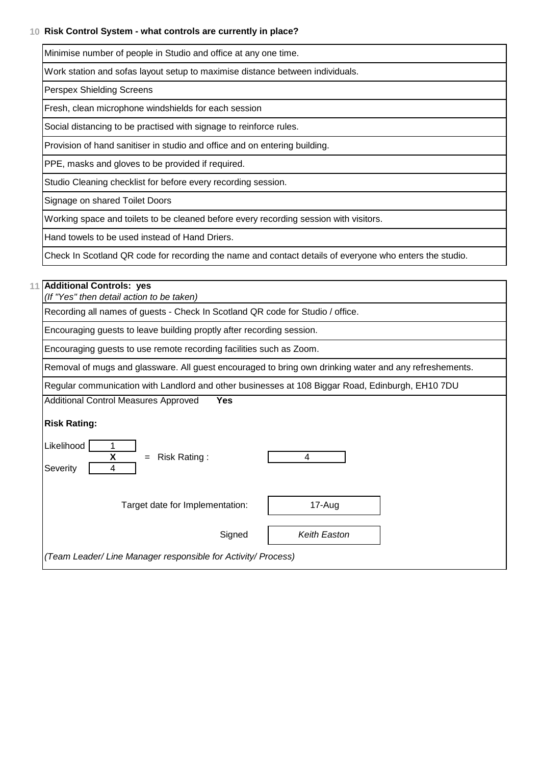# **10 Risk Control System - what controls are currently in place?**

Minimise number of people in Studio and office at any one time.

Work station and sofas layout setup to maximise distance between individuals.

Perspex Shielding Screens

Fresh, clean microphone windshields for each session

Social distancing to be practised with signage to reinforce rules.

Provision of hand sanitiser in studio and office and on entering building.

PPE, masks and gloves to be provided if required.

Studio Cleaning checklist for before every recording session.

Signage on shared Toilet Doors

Working space and toilets to be cleaned before every recording session with visitors.

Hand towels to be used instead of Hand Driers.

Check In Scotland QR code for recording the name and contact details of everyone who enters the studio.

#### **11 Additional Controls: yes**

*(If "Yes" then detail action to be taken)*

Recording all names of guests - Check In Scotland QR code for Studio / office.

Encouraging guests to leave building proptly after recording session.

Encouraging guests to use remote recording facilities such as Zoom.

Removal of mugs and glassware. All guest encouraged to bring own drinking water and any refreshements.

Regular communication with Landlord and other businesses at 108 Biggar Road, Edinburgh, EH10 7DU

Additional Control Measures Approved **Yes**

# **Risk Rating:**

| Likelihood<br>X<br>Risk Rating:<br>$=$<br>Severity            |              |  |
|---------------------------------------------------------------|--------------|--|
| Target date for Implementation:                               | 17-Aug       |  |
| Signed                                                        | Keith Easton |  |
| (Team Leader/ Line Manager responsible for Activity/ Process) |              |  |